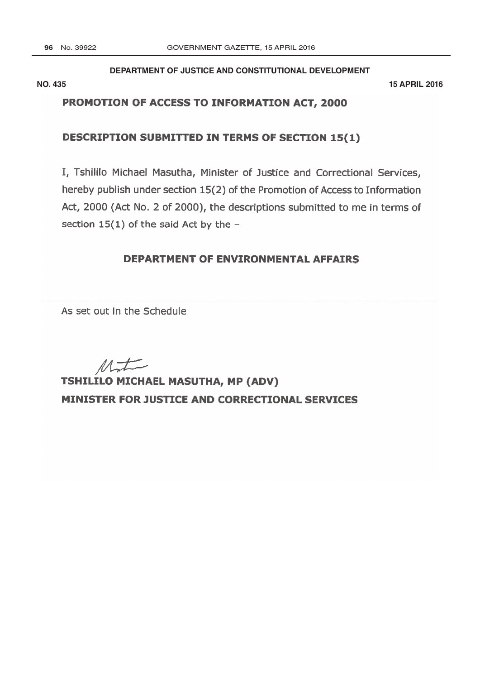### DEPARTMENT OF JUSTICE AND CONSTITUTIONAL DEVELOPMENT

**NO. 435** 

**15 APRIL 2016** 

## PROMOTION OF ACCESS TO INFORMATION ACT, 2000

## **DESCRIPTION SUBMITTED IN TERMS OF SECTION 15(1)**

I, Tshililo Michael Masutha, Minister of Justice and Correctional Services, hereby publish under section 15(2) of the Promotion of Access to Information Act, 2000 (Act No. 2 of 2000), the descriptions submitted to me in terms of section  $15(1)$  of the said Act by the -

## DEPARTMENT OF ENVIRONMENTAL AFFAIRS

As set out in the Schedule

 $M_{\rightarrow}$ 

**TSHILILO MICHAEL MASUTHA, MP (ADV)** MINISTER FOR JUSTICE AND CORRECTIONAL SERVICES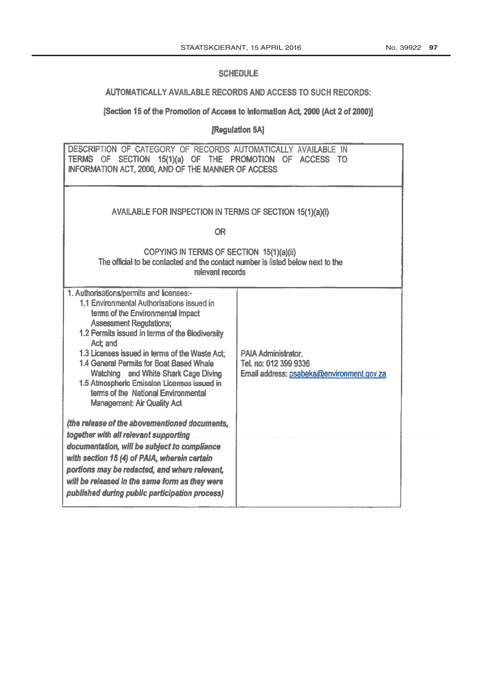#### **SCHEDULE**

# AUTOMATICALLY AVAILABLE RECORDS AND ACCESS TO SUCH RECORDS:

## [Section 15 of the Promotion of Access to Information Act, 2000 (Act 2 of 2000)]

[Regulation 5A]

| DESCRIPTION OF CATEGORY OF RECORDS AUTOMATICALLY AVAILABLE IN<br>TERMS OF SECTION 15(1)(a) OF THE PROMOTION OF ACCESS TO<br><b>INFORMATION ACT, 2000, AND OF THE MANNER OF ACCESS</b>                                                                                                                                                                                                                                                                                                          |                                                                                                  |
|------------------------------------------------------------------------------------------------------------------------------------------------------------------------------------------------------------------------------------------------------------------------------------------------------------------------------------------------------------------------------------------------------------------------------------------------------------------------------------------------|--------------------------------------------------------------------------------------------------|
| AVAILABLE FOR INSPECTION IN TERMS OF SECTION 15(1)(a)(i)                                                                                                                                                                                                                                                                                                                                                                                                                                       |                                                                                                  |
| <b>OR</b>                                                                                                                                                                                                                                                                                                                                                                                                                                                                                      |                                                                                                  |
| COPYING IN TERMS OF SECTION 15(1)(a)(ii)<br>The official to be contacted and the contact number is listed below next to the<br>relevant records                                                                                                                                                                                                                                                                                                                                                |                                                                                                  |
| 1. Authorisations/permits and licenses:-<br>1.1 Environmental Authorisations issued in<br>terms of the Environmental Impact<br><b>Assessment Regulations;</b><br>1.2 Permits issued in terms of the Biodiversity<br>Act: and<br>1.3 Licenses issued in terms of the Waste Act:<br>1.4 General Permits for Boat Based Whale<br>Watching and White Shark Cage Diving<br>1.5 Atmospheric Emission Licenses issued in<br>terms of the National Environmental<br><b>Management: Air Quality Act</b> | <b>PAIA Administrator.</b><br>Tel. no: 012 399 9336<br>Email address: psabeka@environment.gov.za |
| (the release of the abovementioned documents,<br>together with all relevant supporting                                                                                                                                                                                                                                                                                                                                                                                                         |                                                                                                  |
| documentation, will be subject to compliance<br>with section 15 (4) of PAIA, wherein certain<br>portions may be redacted, and where relevant,<br>will be released in the same form as they were<br>published during public participation process)                                                                                                                                                                                                                                              |                                                                                                  |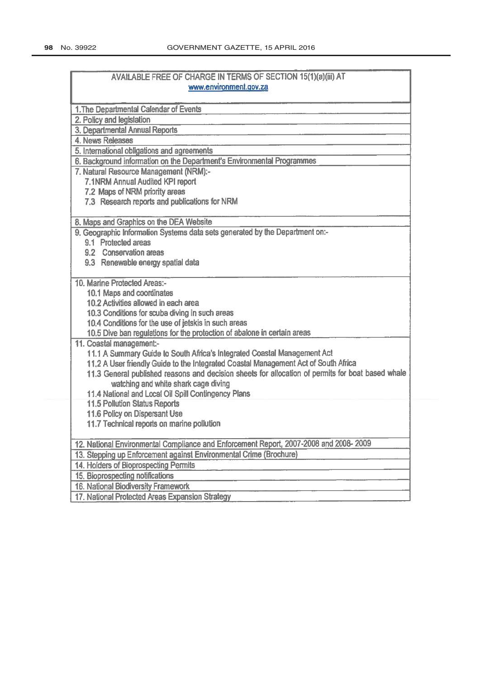| AVAILABLE FREE OF CHARGE IN TERMS OF SECTION 15(1)(a)(iii) AT                                     |  |
|---------------------------------------------------------------------------------------------------|--|
| www.environment.gov.za                                                                            |  |
|                                                                                                   |  |
| 1. The Departmental Calendar of Events                                                            |  |
| 2. Policy and legislation                                                                         |  |
| 3. Departmental Annual Reports                                                                    |  |
| 4. News Releases                                                                                  |  |
| 5. International obligations and agreements                                                       |  |
| 6. Background information on the Department's Environmental Programmes                            |  |
| 7. Natural Resource Management (NRM):-                                                            |  |
| 7.1NRM Annual Audited KPI report                                                                  |  |
| 7.2 Maps of NRM priority areas                                                                    |  |
| 7.3 Research reports and publications for NRM                                                     |  |
| 8. Maps and Graphics on the DEA Website                                                           |  |
| 9. Geographic Information Systems data sets generated by the Department on:-                      |  |
| 9.1 Protected areas                                                                               |  |
| 9.2 Conservation areas                                                                            |  |
| 9.3 Renewable energy spatial data                                                                 |  |
| 10. Marine Protected Areas:-                                                                      |  |
| 10.1 Maps and coordinates                                                                         |  |
| 10.2 Activities allowed in each area                                                              |  |
| 10.3 Conditions for scuba diving in such areas                                                    |  |
| 10.4 Conditions for the use of jetskis in such areas                                              |  |
| 10.5 Dive ban regulations for the protection of abalone in certain areas                          |  |
| 11. Coastal management:-                                                                          |  |
| 11.1 A Summary Guide to South Africa's Integrated Coastal Management Act                          |  |
| 11.2 A User friendly Guide to the Integrated Coastal Management Act of South Africa               |  |
| 11.3 General published reasons and decision sheets for allocation of permits for boat based whale |  |
| watching and white shark cage diving                                                              |  |
| 11.4 National and Local Oil Spill Contingency Plans                                               |  |
| <b>11.5 Pollution Status Reports</b>                                                              |  |
| 11.6 Policy on Dispersant Use                                                                     |  |
| 11.7 Technical reports on marine pollution                                                        |  |
| 12. National Environmental Compliance and Enforcement Report, 2007-2008 and 2008-2009             |  |
| 13. Stepping up Enforcement against Environmental Crime (Brochure)                                |  |
| 14. Holders of Bioprospecting Permits                                                             |  |
| 15. Bioprospecting notifications                                                                  |  |
| 16. National Biodiversity Framework                                                               |  |
| 17. National Protected Areas Expansion Strategy                                                   |  |
|                                                                                                   |  |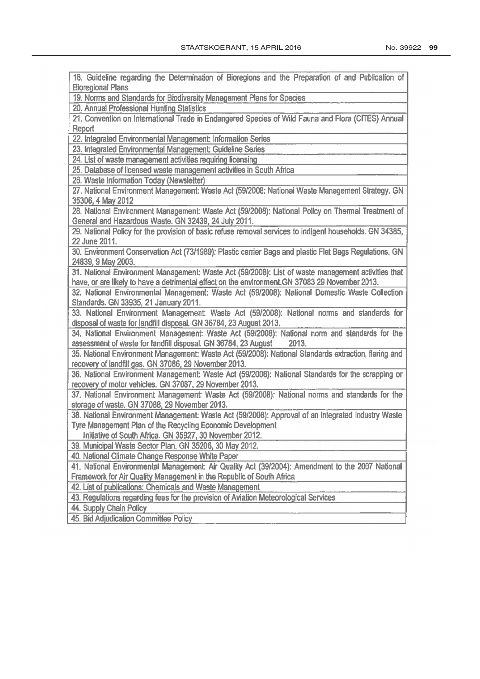18. Guideline regarding the Determination of Bioregions and the Preparation of and Publication of **Bioregional Plans** 19. Norms and Standards for Biodiversity Management Plans for Species 20. Annual Professional Hunting Statistics 21. Convention on International Trade in Endangered Species of Wild Fauna and Flora (CITES) Annual Report 22. Integrated Environmental Management: Information Series 23. Integrated Environmental Management: Guideline Series 24. List of waste management activities requiring licensing 25. Database of licensed waste management activities in South Africa 26. Waste Information Today (Newsletter) 27. National Environment Management: Waste Act (59/2008: National Waste Management Strategy. GN 35306, 4 May 2012 28. National Environment Management: Waste Act (59/2008): National Policy on Thermal Treatment of General and Hazardous Waste. GN 32439, 24 July 2011. 29. National Policy for the provision of basic refuse removal services to indigent households. GN 34385, 22 June 2011. 30. Environment Conservation Act (73/1989): Plastic carrier Bags and plastic Flat Bags Regulations. GN 24839, 9 May 2003. 31. National Environment Management: Waste Act (59/2008): List of waste management activities that have, or are likely to have a detrimental effect on the environment.GN 37083 29 November 2013. 32. National Environmental Management: Waste Act (59/2008): National Domestic Waste Collection Standards. GN 33935, 21 January 2011. 33. National Environment Management: Waste Act (59/2008): National norms and standards for disposal of waste for landfill disposal. GN 36784, 23 August 2013. 34. National Environment Management: Waste Act (59/2008): National norm and standards for the assessment of waste for landfill disposal. GN 36784, 23 August 2013. 35. National Environment Management: Waste Act (59/2008): National Standards extraction, flaring and recovery of landfill gas. GN 37086, 29 November 2013. 36. National Environment Management: Waste Act (59/2008): National Standards for the scrapping or recovery of motor vehicles. GN 37087, 29 November 2013. 37. National Environment Management: Waste Act (59/2008): National norms and standards for the storage of waste. GN 37088, 29 November 2013. 38. National Environment Management: Waste Act (59/2008): Approval of an integrated Industry Waste Tyre Management Plan of the Recycling Economic Development Initiative of South Africa. GN 35927, 30 November 2012. 39. Municipal Waste Sector Plan. GN 35206, 30 May 2012. 40. National Climate Change Response White Paper 41. National Environmental Management: Air Quality Act (39/2004): Amendment to the 2007 National Framework for Air Quality Management in the Republic of South Africa 42. List of publications: Chemicals and Waste Management 43. Regulations regarding fees for the provision of Aviation Meteorological Services 44. Supply Chain Policy 45. Bid Adjudication Committee Policy